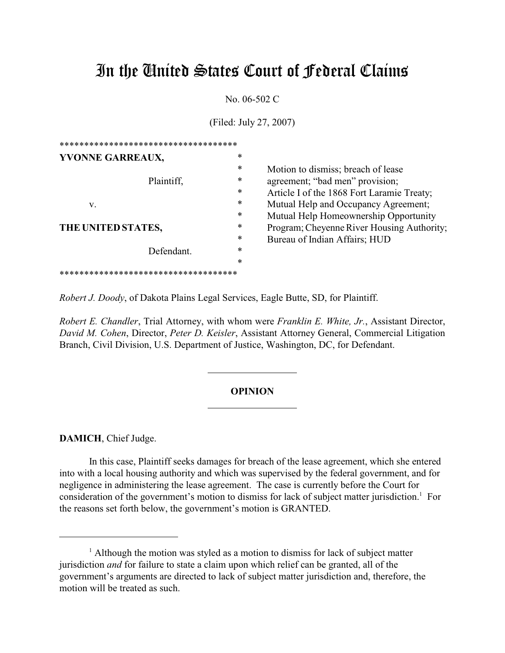# In the United States Court of Federal Claims

No. 06-502 C

(Filed: July 27, 2007)

| *****************************        |   |                                            |
|--------------------------------------|---|--------------------------------------------|
| YVONNE GARREAUX,                     | ∗ |                                            |
|                                      | ∗ | Motion to dismiss; breach of lease         |
| Plaintiff,                           | ∗ | agreement; "bad men" provision;            |
|                                      | ∗ | Article I of the 1868 Fort Laramie Treaty; |
| V.                                   | ∗ | Mutual Help and Occupancy Agreement;       |
|                                      | ∗ | Mutual Help Homeownership Opportunity      |
| THE UNITED STATES,                   | * | Program; Cheyenne River Housing Authority; |
|                                      | ∗ | Bureau of Indian Affairs; HUD              |
| Defendant.                           | ∗ |                                            |
|                                      | ∗ |                                            |
| ************************************ |   |                                            |

*Robert J. Doody*, of Dakota Plains Legal Services, Eagle Butte, SD, for Plaintiff.

 $\overline{a}$ 

*Robert E. Chandler*, Trial Attorney, with whom were *Franklin E. White, Jr.*, Assistant Director, *David M. Cohen*, Director, *Peter D. Keisler*, Assistant Attorney General, Commercial Litigation Branch, Civil Division, U.S. Department of Justice, Washington, DC, for Defendant.

## **OPINION**

**DAMICH**, Chief Judge.

In this case, Plaintiff seeks damages for breach of the lease agreement, which she entered into with a local housing authority and which was supervised by the federal government, and for negligence in administering the lease agreement. The case is currently before the Court for consideration of the government's motion to dismiss for lack of subject matter jurisdiction.<sup>1</sup> For the reasons set forth below, the government's motion is GRANTED.

<sup>&</sup>lt;sup>1</sup> Although the motion was styled as a motion to dismiss for lack of subject matter jurisdiction *and* for failure to state a claim upon which relief can be granted, all of the government's arguments are directed to lack of subject matter jurisdiction and, therefore, the motion will be treated as such.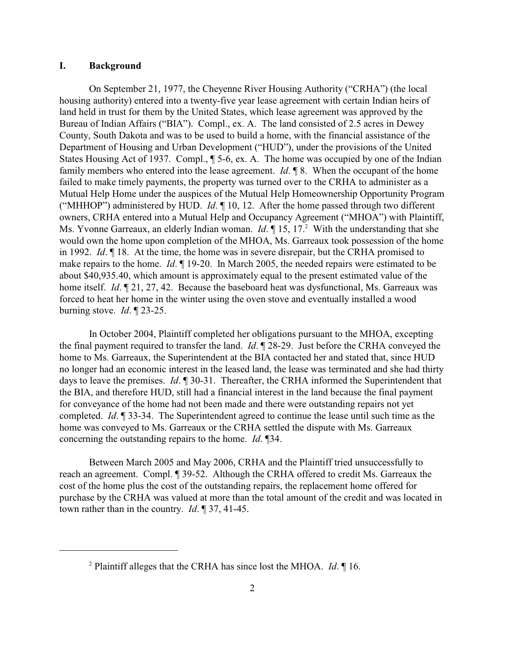#### **I. Background**

On September 21, 1977, the Cheyenne River Housing Authority ("CRHA") (the local housing authority) entered into a twenty-five year lease agreement with certain Indian heirs of land held in trust for them by the United States, which lease agreement was approved by the Bureau of Indian Affairs ("BIA"). Compl., ex. A. The land consisted of 2.5 acres in Dewey County, South Dakota and was to be used to build a home, with the financial assistance of the Department of Housing and Urban Development ("HUD"), under the provisions of the United States Housing Act of 1937. Compl.,  $\P$  5-6, ex. A. The home was occupied by one of the Indian family members who entered into the lease agreement. *Id*. ¶ 8. When the occupant of the home failed to make timely payments, the property was turned over to the CRHA to administer as a Mutual Help Home under the auspices of the Mutual Help Homeownership Opportunity Program ("MHHOP") administered by HUD. *Id*. ¶ 10, 12. After the home passed through two different owners, CRHA entered into a Mutual Help and Occupancy Agreement ("MHOA") with Plaintiff, Ms. Yvonne Garreaux, an elderly Indian woman. *Id*. **15**, 17<sup>2</sup> With the understanding that she would own the home upon completion of the MHOA, Ms. Garreaux took possession of the home in 1992. *Id*. ¶ 18. At the time, the home was in severe disrepair, but the CRHA promised to make repairs to the home. *Id*. ¶ 19-20. In March 2005, the needed repairs were estimated to be about \$40,935.40, which amount is approximately equal to the present estimated value of the home itself. *Id*. ¶ 21, 27, 42. Because the baseboard heat was dysfunctional, Ms. Garreaux was forced to heat her home in the winter using the oven stove and eventually installed a wood burning stove. *Id*. ¶ 23-25.

In October 2004, Plaintiff completed her obligations pursuant to the MHOA, excepting the final payment required to transfer the land. *Id*. ¶ 28-29. Just before the CRHA conveyed the home to Ms. Garreaux, the Superintendent at the BIA contacted her and stated that, since HUD no longer had an economic interest in the leased land, the lease was terminated and she had thirty days to leave the premises. *Id*. ¶ 30-31. Thereafter, the CRHA informed the Superintendent that the BIA, and therefore HUD, still had a financial interest in the land because the final payment for conveyance of the home had not been made and there were outstanding repairs not yet completed. *Id*. ¶ 33-34. The Superintendent agreed to continue the lease until such time as the home was conveyed to Ms. Garreaux or the CRHA settled the dispute with Ms. Garreaux concerning the outstanding repairs to the home. *Id*. ¶34.

Between March 2005 and May 2006, CRHA and the Plaintiff tried unsuccessfully to reach an agreement. Compl. ¶ 39-52. Although the CRHA offered to credit Ms. Garreaux the cost of the home plus the cost of the outstanding repairs, the replacement home offered for purchase by the CRHA was valued at more than the total amount of the credit and was located in town rather than in the country. *Id*. ¶ 37, 41-45.

<sup>&</sup>lt;sup>2</sup> Plaintiff alleges that the CRHA has since lost the MHOA. *Id*. ¶ 16.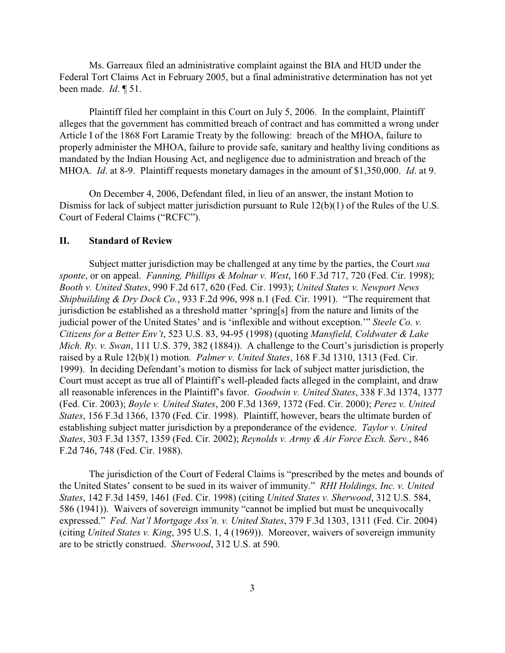Ms. Garreaux filed an administrative complaint against the BIA and HUD under the Federal Tort Claims Act in February 2005, but a final administrative determination has not yet been made. *Id*. ¶ 51.

Plaintiff filed her complaint in this Court on July 5, 2006. In the complaint, Plaintiff alleges that the government has committed breach of contract and has committed a wrong under Article I of the 1868 Fort Laramie Treaty by the following: breach of the MHOA, failure to properly administer the MHOA, failure to provide safe, sanitary and healthy living conditions as mandated by the Indian Housing Act, and negligence due to administration and breach of the MHOA. *Id*. at 8-9. Plaintiff requests monetary damages in the amount of \$1,350,000. *Id*. at 9.

On December 4, 2006, Defendant filed, in lieu of an answer, the instant Motion to Dismiss for lack of subject matter jurisdiction pursuant to Rule 12(b)(1) of the Rules of the U.S. Court of Federal Claims ("RCFC").

### **II. Standard of Review**

Subject matter jurisdiction may be challenged at any time by the parties, the Court *sua sponte*, or on appeal. *Fanning, Phillips & Molnar v. West*, 160 F.3d 717, 720 (Fed. Cir. 1998); *Booth v. United States*, 990 F.2d 617, 620 (Fed. Cir. 1993); *United States v. Newport News Shipbuilding & Dry Dock Co.*, 933 F.2d 996, 998 n.1 (Fed. Cir. 1991). "The requirement that jurisdiction be established as a threshold matter 'spring[s] from the nature and limits of the judicial power of the United States' and is 'inflexible and without exception.'" *Steele Co. v. Citizens for a Better Env't*, 523 U.S. 83, 94-95 (1998) (quoting *Mansfield, Coldwater & Lake Mich. Ry. v. Swan*, 111 U.S. 379, 382 (1884)). A challenge to the Court's jurisdiction is properly raised by a Rule 12(b)(1) motion. *Palmer v. United States*, 168 F.3d 1310, 1313 (Fed. Cir. 1999). In deciding Defendant's motion to dismiss for lack of subject matter jurisdiction, the Court must accept as true all of Plaintiff's well-pleaded facts alleged in the complaint, and draw all reasonable inferences in the Plaintiff's favor. *Goodwin v. United States*, 338 F.3d 1374, 1377 (Fed. Cir. 2003); *Boyle v. United States*, 200 F.3d 1369, 1372 (Fed. Cir. 2000); *Perez v. United States*, 156 F.3d 1366, 1370 (Fed. Cir. 1998). Plaintiff, however, bears the ultimate burden of establishing subject matter jurisdiction by a preponderance of the evidence. *Taylor v. United States*, 303 F.3d 1357, 1359 (Fed. Cir. 2002); *Reynolds v. Army & Air Force Exch. Serv.*, 846 F.2d 746, 748 (Fed. Cir. 1988).

The jurisdiction of the Court of Federal Claims is "prescribed by the metes and bounds of the United States' consent to be sued in its waiver of immunity." *RHI Holdings, Inc. v. United States*, 142 F.3d 1459, 1461 (Fed. Cir. 1998) (citing *United States v. Sherwood*, 312 U.S. 584, 586 (1941)). Waivers of sovereign immunity "cannot be implied but must be unequivocally expressed." *Fed. Nat'l Mortgage Ass'n. v. United States*, 379 F.3d 1303, 1311 (Fed. Cir. 2004) (citing *United States v. King*, 395 U.S. 1, 4 (1969)). Moreover, waivers of sovereign immunity are to be strictly construed. *Sherwood*, 312 U.S. at 590.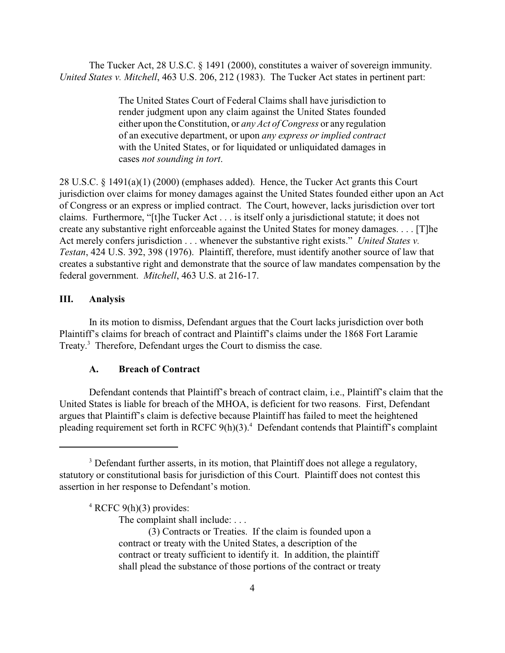The Tucker Act, 28 U.S.C. § 1491 (2000), constitutes a waiver of sovereign immunity. *United States v. Mitchell*, 463 U.S. 206, 212 (1983). The Tucker Act states in pertinent part:

> The United States Court of Federal Claims shall have jurisdiction to render judgment upon any claim against the United States founded either upon the Constitution, or *any Act of Congress* or any regulation of an executive department, or upon *any express or implied contract* with the United States, or for liquidated or unliquidated damages in cases *not sounding in tort*.

28 U.S.C. § 1491(a)(1) (2000) (emphases added). Hence, the Tucker Act grants this Court jurisdiction over claims for money damages against the United States founded either upon an Act of Congress or an express or implied contract. The Court, however, lacks jurisdiction over tort claims. Furthermore, "[t]he Tucker Act . . . is itself only a jurisdictional statute; it does not create any substantive right enforceable against the United States for money damages. . . . [T]he Act merely confers jurisdiction . . . whenever the substantive right exists." *United States v. Testan*, 424 U.S. 392, 398 (1976). Plaintiff, therefore, must identify another source of law that creates a substantive right and demonstrate that the source of law mandates compensation by the federal government. *Mitchell*, 463 U.S. at 216-17.

# **III. Analysis**

In its motion to dismiss, Defendant argues that the Court lacks jurisdiction over both Plaintiff's claims for breach of contract and Plaintiff's claims under the 1868 Fort Laramie Treaty.<sup>3</sup> Therefore, Defendant urges the Court to dismiss the case.

#### **A. Breach of Contract**

Defendant contends that Plaintiff's breach of contract claim, i.e., Plaintiff's claim that the United States is liable for breach of the MHOA, is deficient for two reasons. First, Defendant argues that Plaintiff's claim is defective because Plaintiff has failed to meet the heightened pleading requirement set forth in RCFC  $9(h)(3)$ .<sup>4</sup> Defendant contends that Plaintiff's complaint

The complaint shall include: . . .

<sup>&</sup>lt;sup>3</sup> Defendant further asserts, in its motion, that Plaintiff does not allege a regulatory, statutory or constitutional basis for jurisdiction of this Court. Plaintiff does not contest this assertion in her response to Defendant's motion.

 $4$  RCFC 9(h)(3) provides:

<sup>(3)</sup> Contracts or Treaties. If the claim is founded upon a contract or treaty with the United States, a description of the contract or treaty sufficient to identify it. In addition, the plaintiff shall plead the substance of those portions of the contract or treaty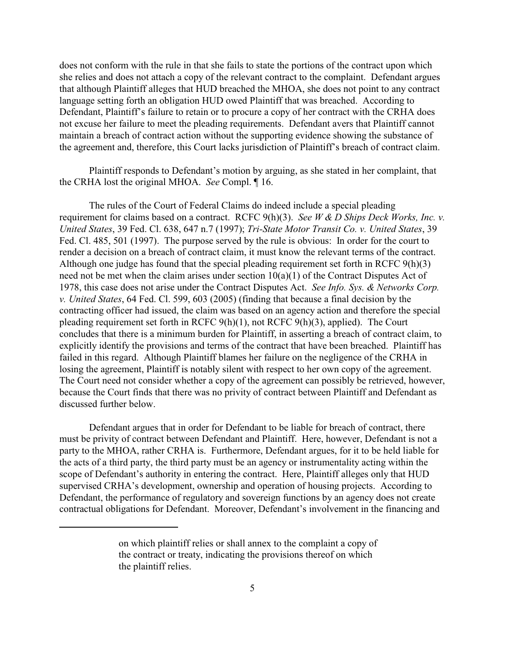does not conform with the rule in that she fails to state the portions of the contract upon which she relies and does not attach a copy of the relevant contract to the complaint. Defendant argues that although Plaintiff alleges that HUD breached the MHOA, she does not point to any contract language setting forth an obligation HUD owed Plaintiff that was breached. According to Defendant, Plaintiff's failure to retain or to procure a copy of her contract with the CRHA does not excuse her failure to meet the pleading requirements. Defendant avers that Plaintiff cannot maintain a breach of contract action without the supporting evidence showing the substance of the agreement and, therefore, this Court lacks jurisdiction of Plaintiff's breach of contract claim.

Plaintiff responds to Defendant's motion by arguing, as she stated in her complaint, that the CRHA lost the original MHOA. *See* Compl. ¶ 16.

The rules of the Court of Federal Claims do indeed include a special pleading requirement for claims based on a contract. RCFC 9(h)(3). *See W & D Ships Deck Works, Inc. v. United States*, 39 Fed. Cl. 638, 647 n.7 (1997); *Tri-State Motor Transit Co. v. United States*, 39 Fed. Cl. 485, 501 (1997). The purpose served by the rule is obvious: In order for the court to render a decision on a breach of contract claim, it must know the relevant terms of the contract. Although one judge has found that the special pleading requirement set forth in RCFC 9(h)(3) need not be met when the claim arises under section 10(a)(1) of the Contract Disputes Act of 1978, this case does not arise under the Contract Disputes Act. *See Info. Sys. & Networks Corp. v. United States*, 64 Fed. Cl. 599, 603 (2005) (finding that because a final decision by the contracting officer had issued, the claim was based on an agency action and therefore the special pleading requirement set forth in RCFC 9(h)(1), not RCFC 9(h)(3), applied). The Court concludes that there is a minimum burden for Plaintiff, in asserting a breach of contract claim, to explicitly identify the provisions and terms of the contract that have been breached. Plaintiff has failed in this regard. Although Plaintiff blames her failure on the negligence of the CRHA in losing the agreement, Plaintiff is notably silent with respect to her own copy of the agreement. The Court need not consider whether a copy of the agreement can possibly be retrieved, however, because the Court finds that there was no privity of contract between Plaintiff and Defendant as discussed further below.

Defendant argues that in order for Defendant to be liable for breach of contract, there must be privity of contract between Defendant and Plaintiff. Here, however, Defendant is not a party to the MHOA, rather CRHA is. Furthermore, Defendant argues, for it to be held liable for the acts of a third party, the third party must be an agency or instrumentality acting within the scope of Defendant's authority in entering the contract. Here, Plaintiff alleges only that HUD supervised CRHA's development, ownership and operation of housing projects. According to Defendant, the performance of regulatory and sovereign functions by an agency does not create contractual obligations for Defendant. Moreover, Defendant's involvement in the financing and

on which plaintiff relies or shall annex to the complaint a copy of the contract or treaty, indicating the provisions thereof on which the plaintiff relies.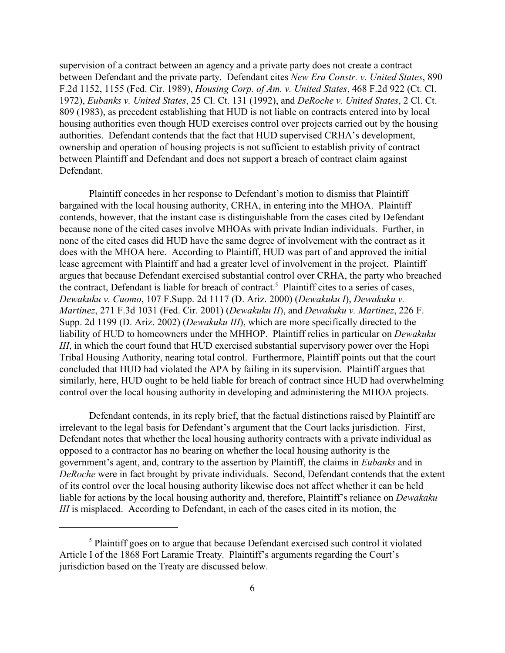supervision of a contract between an agency and a private party does not create a contract between Defendant and the private party. Defendant cites *New Era Constr. v. United States*, 890 F.2d 1152, 1155 (Fed. Cir. 1989), *Housing Corp. of Am. v. United States*, 468 F.2d 922 (Ct. Cl. 1972), *Eubanks v. United States*, 25 Cl. Ct. 131 (1992), and *DeRoche v. United States*, 2 Cl. Ct. 809 (1983), as precedent establishing that HUD is not liable on contracts entered into by local housing authorities even though HUD exercises control over projects carried out by the housing authorities. Defendant contends that the fact that HUD supervised CRHA's development, ownership and operation of housing projects is not sufficient to establish privity of contract between Plaintiff and Defendant and does not support a breach of contract claim against Defendant.

Plaintiff concedes in her response to Defendant's motion to dismiss that Plaintiff bargained with the local housing authority, CRHA, in entering into the MHOA. Plaintiff contends, however, that the instant case is distinguishable from the cases cited by Defendant because none of the cited cases involve MHOAs with private Indian individuals. Further, in none of the cited cases did HUD have the same degree of involvement with the contract as it does with the MHOA here. According to Plaintiff, HUD was part of and approved the initial lease agreement with Plaintiff and had a greater level of involvement in the project. Plaintiff argues that because Defendant exercised substantial control over CRHA, the party who breached the contract, Defendant is liable for breach of contract.<sup>5</sup> Plaintiff cites to a series of cases, *Dewakuku v. Cuomo*, 107 F.Supp. 2d 1117 (D. Ariz. 2000) (*Dewakuku I*), *Dewakuku v. Martinez*, 271 F.3d 1031 (Fed. Cir. 2001) (*Dewakuku II*), and *Dewakuku v. Martinez*, 226 F. Supp. 2d 1199 (D. Ariz. 2002) (*Dewakuku III*), which are more specifically directed to the liability of HUD to homeowners under the MHHOP. Plaintiff relies in particular on *Dewakuku III*, in which the court found that HUD exercised substantial supervisory power over the Hopi Tribal Housing Authority, nearing total control. Furthermore, Plaintiff points out that the court concluded that HUD had violated the APA by failing in its supervision. Plaintiff argues that similarly, here, HUD ought to be held liable for breach of contract since HUD had overwhelming control over the local housing authority in developing and administering the MHOA projects.

Defendant contends, in its reply brief, that the factual distinctions raised by Plaintiff are irrelevant to the legal basis for Defendant's argument that the Court lacks jurisdiction. First, Defendant notes that whether the local housing authority contracts with a private individual as opposed to a contractor has no bearing on whether the local housing authority is the government's agent, and, contrary to the assertion by Plaintiff, the claims in *Eubanks* and in *DeRoche* were in fact brought by private individuals. Second, Defendant contends that the extent of its control over the local housing authority likewise does not affect whether it can be held liable for actions by the local housing authority and, therefore, Plaintiff's reliance on *Dewakaku III* is misplaced. According to Defendant, in each of the cases cited in its motion, the

 $<sup>5</sup>$  Plaintiff goes on to argue that because Defendant exercised such control it violated</sup> Article I of the 1868 Fort Laramie Treaty. Plaintiff's arguments regarding the Court's jurisdiction based on the Treaty are discussed below.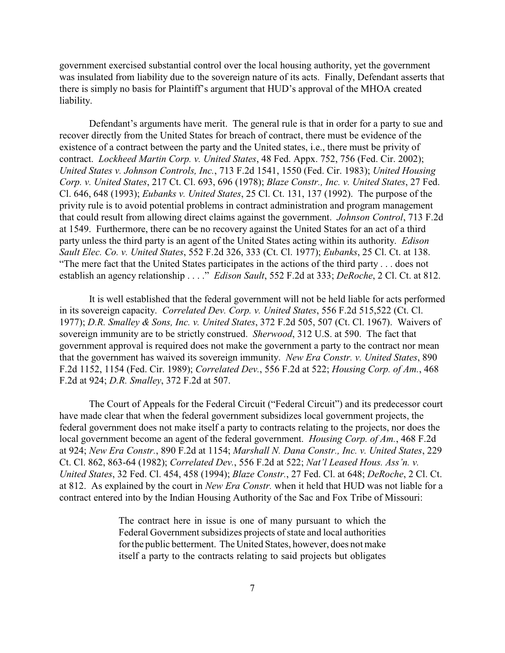government exercised substantial control over the local housing authority, yet the government was insulated from liability due to the sovereign nature of its acts. Finally, Defendant asserts that there is simply no basis for Plaintiff's argument that HUD's approval of the MHOA created liability.

Defendant's arguments have merit. The general rule is that in order for a party to sue and recover directly from the United States for breach of contract, there must be evidence of the existence of a contract between the party and the United states, i.e., there must be privity of contract. *Lockheed Martin Corp. v. United States*, 48 Fed. Appx. 752, 756 (Fed. Cir. 2002); *United States v. Johnson Controls, Inc.*, 713 F.2d 1541, 1550 (Fed. Cir. 1983); *United Housing Corp. v. United States*, 217 Ct. Cl. 693, 696 (1978); *Blaze Constr., Inc. v. United States*, 27 Fed. Cl. 646, 648 (1993); *Eubanks v. United States*, 25 Cl. Ct. 131, 137 (1992). The purpose of the privity rule is to avoid potential problems in contract administration and program management that could result from allowing direct claims against the government. *Johnson Control*, 713 F.2d at 1549. Furthermore, there can be no recovery against the United States for an act of a third party unless the third party is an agent of the United States acting within its authority. *Edison Sault Elec. Co. v. United States*, 552 F.2d 326, 333 (Ct. Cl. 1977); *Eubanks*, 25 Cl. Ct. at 138. "The mere fact that the United States participates in the actions of the third party . . . does not establish an agency relationship . . . ." *Edison Sault*, 552 F.2d at 333; *DeRoche*, 2 Cl. Ct. at 812.

It is well established that the federal government will not be held liable for acts performed in its sovereign capacity. *Correlated Dev. Corp. v. United States*, 556 F.2d 515,522 (Ct. Cl. 1977); *D.R. Smalley & Sons, Inc. v. United States*, 372 F.2d 505, 507 (Ct. Cl. 1967). Waivers of sovereign immunity are to be strictly construed. *Sherwood*, 312 U.S. at 590. The fact that government approval is required does not make the government a party to the contract nor mean that the government has waived its sovereign immunity. *New Era Constr. v. United States*, 890 F.2d 1152, 1154 (Fed. Cir. 1989); *Correlated Dev.*, 556 F.2d at 522; *Housing Corp. of Am.*, 468 F.2d at 924; *D.R. Smalley*, 372 F.2d at 507.

The Court of Appeals for the Federal Circuit ("Federal Circuit") and its predecessor court have made clear that when the federal government subsidizes local government projects, the federal government does not make itself a party to contracts relating to the projects, nor does the local government become an agent of the federal government. *Housing Corp. of Am.*, 468 F.2d at 924; *New Era Constr.*, 890 F.2d at 1154; *Marshall N. Dana Constr., Inc. v. United States*, 229 Ct. Cl. 862, 863-64 (1982); *Correlated Dev.*, 556 F.2d at 522; *Nat'l Leased Hous. Ass'n. v. United States*, 32 Fed. Cl. 454, 458 (1994); *Blaze Constr.*, 27 Fed. Cl. at 648; *DeRoche*, 2 Cl. Ct. at 812. As explained by the court in *New Era Constr.* when it held that HUD was not liable for a contract entered into by the Indian Housing Authority of the Sac and Fox Tribe of Missouri:

> The contract here in issue is one of many pursuant to which the Federal Government subsidizes projects of state and local authorities for the public betterment. The United States, however, does not make itself a party to the contracts relating to said projects but obligates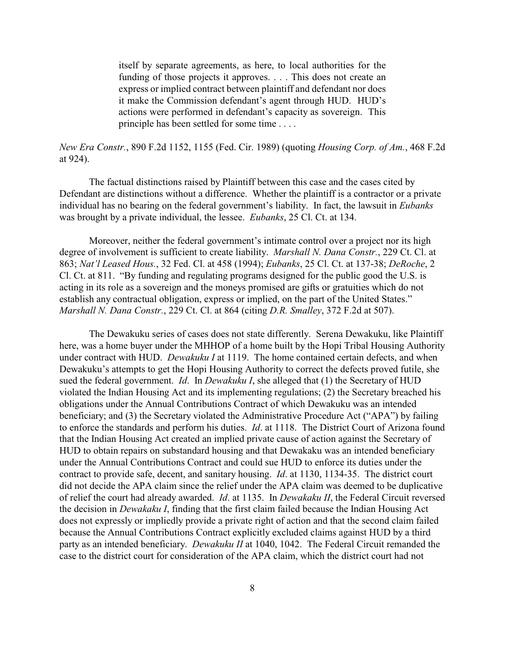itself by separate agreements, as here, to local authorities for the funding of those projects it approves. . . . This does not create an express or implied contract between plaintiff and defendant nor does it make the Commission defendant's agent through HUD. HUD's actions were performed in defendant's capacity as sovereign. This principle has been settled for some time . . . .

# *New Era Constr.*, 890 F.2d 1152, 1155 (Fed. Cir. 1989) (quoting *Housing Corp. of Am.*, 468 F.2d at 924).

The factual distinctions raised by Plaintiff between this case and the cases cited by Defendant are distinctions without a difference. Whether the plaintiff is a contractor or a private individual has no bearing on the federal government's liability. In fact, the lawsuit in *Eubanks* was brought by a private individual, the lessee. *Eubanks*, 25 Cl. Ct. at 134.

Moreover, neither the federal government's intimate control over a project nor its high degree of involvement is sufficient to create liability. *Marshall N. Dana Constr.*, 229 Ct. Cl. at 863; *Nat'l Leased Hous.*, 32 Fed. Cl. at 458 (1994); *Eubanks*, 25 Cl. Ct. at 137-38; *DeRoche*, 2 Cl. Ct. at 811. "By funding and regulating programs designed for the public good the U.S. is acting in its role as a sovereign and the moneys promised are gifts or gratuities which do not establish any contractual obligation, express or implied, on the part of the United States." *Marshall N. Dana Constr.*, 229 Ct. Cl. at 864 (citing *D.R. Smalley*, 372 F.2d at 507).

The Dewakuku series of cases does not state differently. Serena Dewakuku, like Plaintiff here, was a home buyer under the MHHOP of a home built by the Hopi Tribal Housing Authority under contract with HUD. *Dewakuku I* at 1119. The home contained certain defects, and when Dewakuku's attempts to get the Hopi Housing Authority to correct the defects proved futile, she sued the federal government. *Id*. In *Dewakuku I*, she alleged that (1) the Secretary of HUD violated the Indian Housing Act and its implementing regulations; (2) the Secretary breached his obligations under the Annual Contributions Contract of which Dewakuku was an intended beneficiary; and (3) the Secretary violated the Administrative Procedure Act ("APA") by failing to enforce the standards and perform his duties. *Id*. at 1118. The District Court of Arizona found that the Indian Housing Act created an implied private cause of action against the Secretary of HUD to obtain repairs on substandard housing and that Dewakaku was an intended beneficiary under the Annual Contributions Contract and could sue HUD to enforce its duties under the contract to provide safe, decent, and sanitary housing. *Id*. at 1130, 1134-35. The district court did not decide the APA claim since the relief under the APA claim was deemed to be duplicative of relief the court had already awarded. *Id*. at 1135. In *Dewakaku II*, the Federal Circuit reversed the decision in *Dewakaku I*, finding that the first claim failed because the Indian Housing Act does not expressly or impliedly provide a private right of action and that the second claim failed because the Annual Contributions Contract explicitly excluded claims against HUD by a third party as an intended beneficiary. *Dewakuku II* at 1040, 1042. The Federal Circuit remanded the case to the district court for consideration of the APA claim, which the district court had not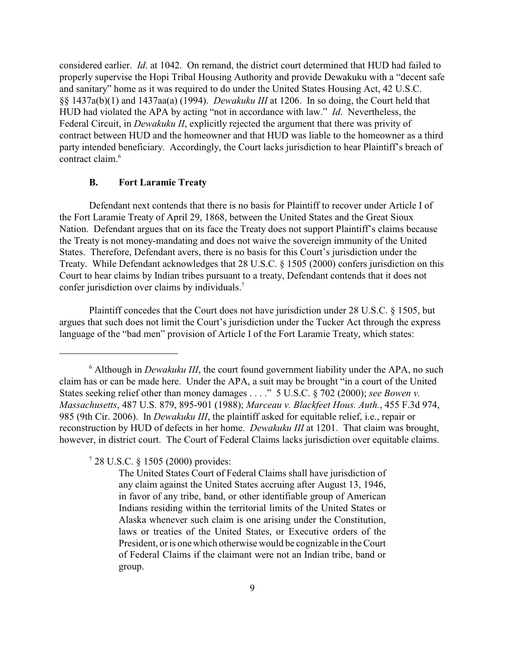considered earlier. *Id*. at 1042. On remand, the district court determined that HUD had failed to properly supervise the Hopi Tribal Housing Authority and provide Dewakuku with a "decent safe and sanitary" home as it was required to do under the United States Housing Act, 42 U.S.C. §§ 1437a(b)(1) and 1437aa(a) (1994). *Dewakuku III* at 1206. In so doing, the Court held that HUD had violated the APA by acting "not in accordance with law." *Id*. Nevertheless, the Federal Circuit, in *Dewakuku II*, explicitly rejected the argument that there was privity of contract between HUD and the homeowner and that HUD was liable to the homeowner as a third party intended beneficiary. Accordingly, the Court lacks jurisdiction to hear Plaintiff's breach of contract claim.<sup>6</sup>

## **B. Fort Laramie Treaty**

Defendant next contends that there is no basis for Plaintiff to recover under Article I of the Fort Laramie Treaty of April 29, 1868, between the United States and the Great Sioux Nation. Defendant argues that on its face the Treaty does not support Plaintiff's claims because the Treaty is not money-mandating and does not waive the sovereign immunity of the United States. Therefore, Defendant avers, there is no basis for this Court's jurisdiction under the Treaty. While Defendant acknowledges that 28 U.S.C. § 1505 (2000) confers jurisdiction on this Court to hear claims by Indian tribes pursuant to a treaty, Defendant contends that it does not confer jurisdiction over claims by individuals.<sup>7</sup>

Plaintiff concedes that the Court does not have jurisdiction under 28 U.S.C. § 1505, but argues that such does not limit the Court's jurisdiction under the Tucker Act through the express language of the "bad men" provision of Article I of the Fort Laramie Treaty, which states:

 $728$  U.S.C.  $81505(2000)$  provides:

<sup>&</sup>lt;sup>6</sup> Although in *Dewakuku III*, the court found government liability under the APA, no such claim has or can be made here. Under the APA, a suit may be brought "in a court of the United States seeking relief other than money damages . . . ." 5 U.S.C. § 702 (2000); *see Bowen v. Massachusetts*, 487 U.S. 879, 895-901 (1988); *Marceau v. Blackfeet Hous. Auth.*, 455 F.3d 974, 985 (9th Cir. 2006). In *Dewakuku III*, the plaintiff asked for equitable relief, i.e., repair or reconstruction by HUD of defects in her home. *Dewakuku III* at 1201. That claim was brought, however, in district court. The Court of Federal Claims lacks jurisdiction over equitable claims.

The United States Court of Federal Claims shall have jurisdiction of any claim against the United States accruing after August 13, 1946, in favor of any tribe, band, or other identifiable group of American Indians residing within the territorial limits of the United States or Alaska whenever such claim is one arising under the Constitution, laws or treaties of the United States, or Executive orders of the President, or is onewhich otherwise would be cognizable in the Court of Federal Claims if the claimant were not an Indian tribe, band or group.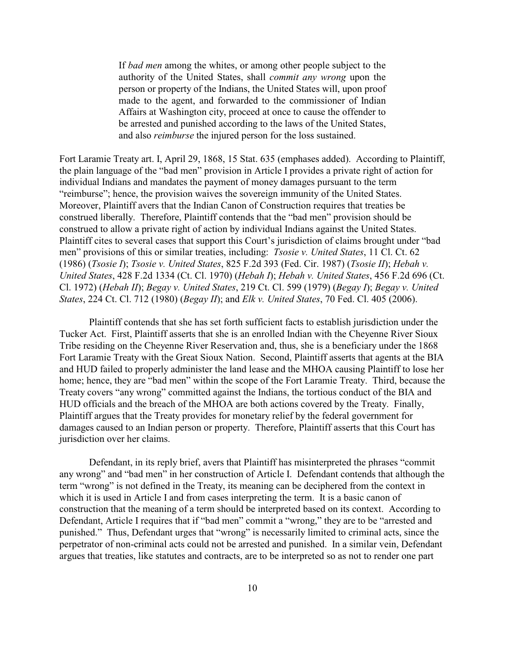If *bad men* among the whites, or among other people subject to the authority of the United States, shall *commit any wrong* upon the person or property of the Indians, the United States will, upon proof made to the agent, and forwarded to the commissioner of Indian Affairs at Washington city, proceed at once to cause the offender to be arrested and punished according to the laws of the United States, and also *reimburse* the injured person for the loss sustained.

Fort Laramie Treaty art. I, April 29, 1868, 15 Stat. 635 (emphases added). According to Plaintiff, the plain language of the "bad men" provision in Article I provides a private right of action for individual Indians and mandates the payment of money damages pursuant to the term "reimburse"; hence, the provision waives the sovereign immunity of the United States. Moreover, Plaintiff avers that the Indian Canon of Construction requires that treaties be construed liberally. Therefore, Plaintiff contends that the "bad men" provision should be construed to allow a private right of action by individual Indians against the United States. Plaintiff cites to several cases that support this Court's jurisdiction of claims brought under "bad men" provisions of this or similar treaties, including: *Tsosie v. United States*, 11 Cl. Ct. 62 (1986) (*Tsosie I*); *Tsosie v. United States*, 825 F.2d 393 (Fed. Cir. 1987) (*Tsosie II*); *Hebah v. United States*, 428 F.2d 1334 (Ct. Cl. 1970) (*Hebah I*); *Hebah v. United States*, 456 F.2d 696 (Ct. Cl. 1972) (*Hebah II*); *Begay v. United States*, 219 Ct. Cl. 599 (1979) (*Begay I*); *Begay v. United States*, 224 Ct. Cl. 712 (1980) (*Begay II*); and *Elk v. United States*, 70 Fed. Cl. 405 (2006).

Plaintiff contends that she has set forth sufficient facts to establish jurisdiction under the Tucker Act. First, Plaintiff asserts that she is an enrolled Indian with the Cheyenne River Sioux Tribe residing on the Cheyenne River Reservation and, thus, she is a beneficiary under the 1868 Fort Laramie Treaty with the Great Sioux Nation. Second, Plaintiff asserts that agents at the BIA and HUD failed to properly administer the land lease and the MHOA causing Plaintiff to lose her home; hence, they are "bad men" within the scope of the Fort Laramie Treaty. Third, because the Treaty covers "any wrong" committed against the Indians, the tortious conduct of the BIA and HUD officials and the breach of the MHOA are both actions covered by the Treaty. Finally, Plaintiff argues that the Treaty provides for monetary relief by the federal government for damages caused to an Indian person or property. Therefore, Plaintiff asserts that this Court has jurisdiction over her claims.

Defendant, in its reply brief, avers that Plaintiff has misinterpreted the phrases "commit any wrong" and "bad men" in her construction of Article I. Defendant contends that although the term "wrong" is not defined in the Treaty, its meaning can be deciphered from the context in which it is used in Article I and from cases interpreting the term. It is a basic canon of construction that the meaning of a term should be interpreted based on its context. According to Defendant, Article I requires that if "bad men" commit a "wrong," they are to be "arrested and punished." Thus, Defendant urges that "wrong" is necessarily limited to criminal acts, since the perpetrator of non-criminal acts could not be arrested and punished. In a similar vein, Defendant argues that treaties, like statutes and contracts, are to be interpreted so as not to render one part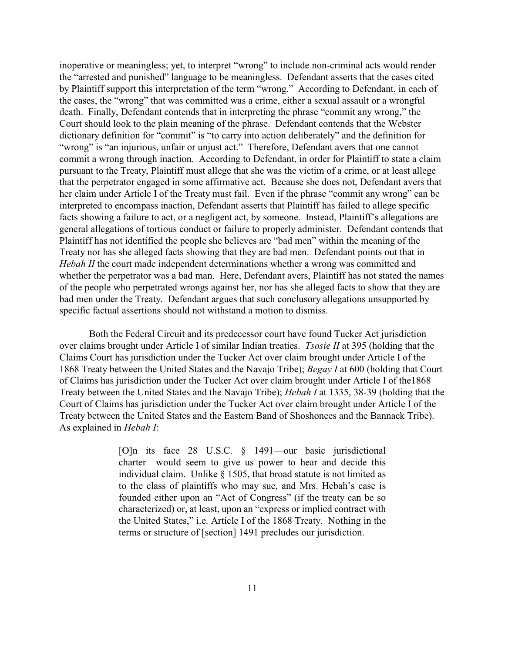inoperative or meaningless; yet, to interpret "wrong" to include non-criminal acts would render the "arrested and punished" language to be meaningless. Defendant asserts that the cases cited by Plaintiff support this interpretation of the term "wrong." According to Defendant, in each of the cases, the "wrong" that was committed was a crime, either a sexual assault or a wrongful death. Finally, Defendant contends that in interpreting the phrase "commit any wrong," the Court should look to the plain meaning of the phrase. Defendant contends that the Webster dictionary definition for "commit" is "to carry into action deliberately" and the definition for "wrong" is "an injurious, unfair or unjust act." Therefore, Defendant avers that one cannot commit a wrong through inaction. According to Defendant, in order for Plaintiff to state a claim pursuant to the Treaty, Plaintiff must allege that she was the victim of a crime, or at least allege that the perpetrator engaged in some affirmative act. Because she does not, Defendant avers that her claim under Article I of the Treaty must fail. Even if the phrase "commit any wrong" can be interpreted to encompass inaction, Defendant asserts that Plaintiff has failed to allege specific facts showing a failure to act, or a negligent act, by someone. Instead, Plaintiff's allegations are general allegations of tortious conduct or failure to properly administer. Defendant contends that Plaintiff has not identified the people she believes are "bad men" within the meaning of the Treaty nor has she alleged facts showing that they are bad men. Defendant points out that in *Hebah II* the court made independent determinations whether a wrong was committed and whether the perpetrator was a bad man. Here, Defendant avers, Plaintiff has not stated the names of the people who perpetrated wrongs against her, nor has she alleged facts to show that they are bad men under the Treaty. Defendant argues that such conclusory allegations unsupported by specific factual assertions should not withstand a motion to dismiss.

Both the Federal Circuit and its predecessor court have found Tucker Act jurisdiction over claims brought under Article I of similar Indian treaties. *Tsosie II* at 395 (holding that the Claims Court has jurisdiction under the Tucker Act over claim brought under Article I of the 1868 Treaty between the United States and the Navajo Tribe); *Begay I* at 600 (holding that Court of Claims has jurisdiction under the Tucker Act over claim brought under Article I of the1868 Treaty between the United States and the Navajo Tribe); *Hebah I* at 1335, 38-39 (holding that the Court of Claims has jurisdiction under the Tucker Act over claim brought under Article I of the Treaty between the United States and the Eastern Band of Shoshonees and the Bannack Tribe). As explained in *Hebah I*:

> [O]n its face 28 U.S.C. § 1491—our basic jurisdictional charter—would seem to give us power to hear and decide this individual claim. Unlike § 1505, that broad statute is not limited as to the class of plaintiffs who may sue, and Mrs. Hebah's case is founded either upon an "Act of Congress" (if the treaty can be so characterized) or, at least, upon an "express or implied contract with the United States," i.e. Article I of the 1868 Treaty. Nothing in the terms or structure of [section] 1491 precludes our jurisdiction.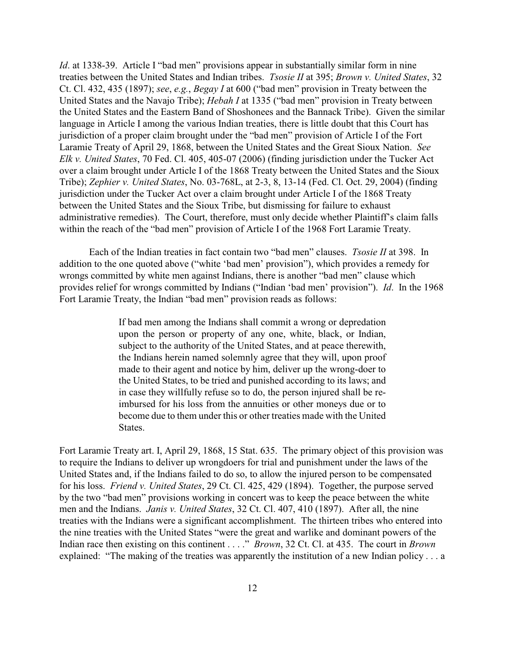*Id.* at 1338-39. Article I "bad men" provisions appear in substantially similar form in nine treaties between the United States and Indian tribes. *Tsosie II* at 395; *Brown v. United States*, 32 Ct. Cl. 432, 435 (1897); *see*, *e.g.*, *Begay I* at 600 ("bad men" provision in Treaty between the United States and the Navajo Tribe); *Hebah I* at 1335 ("bad men" provision in Treaty between the United States and the Eastern Band of Shoshonees and the Bannack Tribe). Given the similar language in Article I among the various Indian treaties, there is little doubt that this Court has jurisdiction of a proper claim brought under the "bad men" provision of Article I of the Fort Laramie Treaty of April 29, 1868, between the United States and the Great Sioux Nation. *See Elk v. United States*, 70 Fed. Cl. 405, 405-07 (2006) (finding jurisdiction under the Tucker Act over a claim brought under Article I of the 1868 Treaty between the United States and the Sioux Tribe); *Zephier v. United States*, No. 03-768L, at 2-3, 8, 13-14 (Fed. Cl. Oct. 29, 2004) (finding jurisdiction under the Tucker Act over a claim brought under Article I of the 1868 Treaty between the United States and the Sioux Tribe, but dismissing for failure to exhaust administrative remedies). The Court, therefore, must only decide whether Plaintiff's claim falls within the reach of the "bad men" provision of Article I of the 1968 Fort Laramie Treaty.

Each of the Indian treaties in fact contain two "bad men" clauses. *Tsosie II* at 398. In addition to the one quoted above ("white 'bad men' provision"), which provides a remedy for wrongs committed by white men against Indians, there is another "bad men" clause which provides relief for wrongs committed by Indians ("Indian 'bad men' provision"). *Id*. In the 1968 Fort Laramie Treaty, the Indian "bad men" provision reads as follows:

> If bad men among the Indians shall commit a wrong or depredation upon the person or property of any one, white, black, or Indian, subject to the authority of the United States, and at peace therewith, the Indians herein named solemnly agree that they will, upon proof made to their agent and notice by him, deliver up the wrong-doer to the United States, to be tried and punished according to its laws; and in case they willfully refuse so to do, the person injured shall be reimbursed for his loss from the annuities or other moneys due or to become due to them under this or other treaties made with the United States.

Fort Laramie Treaty art. I, April 29, 1868, 15 Stat. 635. The primary object of this provision was to require the Indians to deliver up wrongdoers for trial and punishment under the laws of the United States and, if the Indians failed to do so, to allow the injured person to be compensated for his loss. *Friend v. United States*, 29 Ct. Cl. 425, 429 (1894). Together, the purpose served by the two "bad men" provisions working in concert was to keep the peace between the white men and the Indians. *Janis v. United States*, 32 Ct. Cl. 407, 410 (1897). After all, the nine treaties with the Indians were a significant accomplishment. The thirteen tribes who entered into the nine treaties with the United States "were the great and warlike and dominant powers of the Indian race then existing on this continent . . . ." *Brown*, 32 Ct. Cl. at 435. The court in *Brown* explained: "The making of the treaties was apparently the institution of a new Indian policy . . . a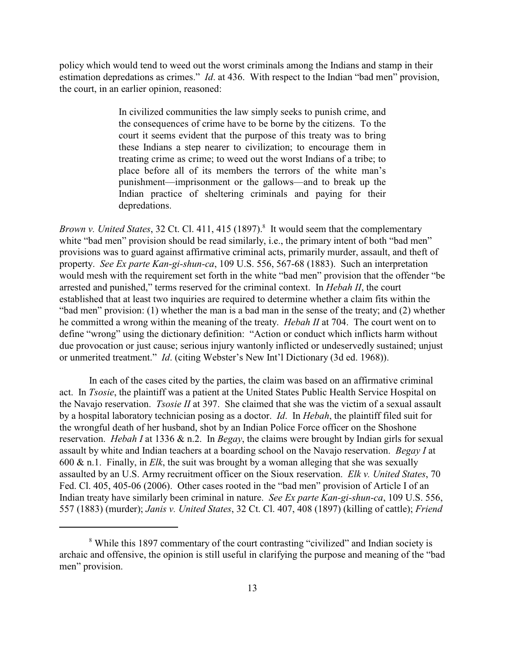policy which would tend to weed out the worst criminals among the Indians and stamp in their estimation depredations as crimes." *Id*. at 436. With respect to the Indian "bad men" provision, the court, in an earlier opinion, reasoned:

> In civilized communities the law simply seeks to punish crime, and the consequences of crime have to be borne by the citizens. To the court it seems evident that the purpose of this treaty was to bring these Indians a step nearer to civilization; to encourage them in treating crime as crime; to weed out the worst Indians of a tribe; to place before all of its members the terrors of the white man's punishment—imprisonment or the gallows—and to break up the Indian practice of sheltering criminals and paying for their depredations.

*Brown v. United States, 32 Ct. Cl. 411, 415 (1897).*<sup>8</sup> It would seem that the complementary white "bad men" provision should be read similarly, i.e., the primary intent of both "bad men" provisions was to guard against affirmative criminal acts, primarily murder, assault, and theft of property. *See Ex parte Kan-gi-shun-ca*, 109 U.S. 556, 567-68 (1883). Such an interpretation would mesh with the requirement set forth in the white "bad men" provision that the offender "be arrested and punished," terms reserved for the criminal context. In *Hebah II*, the court established that at least two inquiries are required to determine whether a claim fits within the "bad men" provision: (1) whether the man is a bad man in the sense of the treaty; and (2) whether he committed a wrong within the meaning of the treaty. *Hebah II* at 704. The court went on to define "wrong" using the dictionary definition: "Action or conduct which inflicts harm without due provocation or just cause; serious injury wantonly inflicted or undeservedly sustained; unjust or unmerited treatment." *Id*. (citing Webster's New Int'l Dictionary (3d ed. 1968)).

In each of the cases cited by the parties, the claim was based on an affirmative criminal act. In *Tsosie*, the plaintiff was a patient at the United States Public Health Service Hospital on the Navajo reservation. *Tsosie II* at 397. She claimed that she was the victim of a sexual assault by a hospital laboratory technician posing as a doctor. *Id*. In *Hebah*, the plaintiff filed suit for the wrongful death of her husband, shot by an Indian Police Force officer on the Shoshone reservation. *Hebah I* at 1336 & n.2. In *Begay*, the claims were brought by Indian girls for sexual assault by white and Indian teachers at a boarding school on the Navajo reservation. *Begay I* at 600 & n.1. Finally, in *Elk*, the suit was brought by a woman alleging that she was sexually assaulted by an U.S. Army recruitment officer on the Sioux reservation. *Elk v. United States*, 70 Fed. Cl. 405, 405-06 (2006). Other cases rooted in the "bad men" provision of Article I of an Indian treaty have similarly been criminal in nature. *See Ex parte Kan-gi-shun-ca*, 109 U.S. 556, 557 (1883) (murder); *Janis v. United States*, 32 Ct. Cl. 407, 408 (1897) (killing of cattle); *Friend*

<sup>&</sup>lt;sup>8</sup> While this 1897 commentary of the court contrasting "civilized" and Indian society is archaic and offensive, the opinion is still useful in clarifying the purpose and meaning of the "bad men" provision.